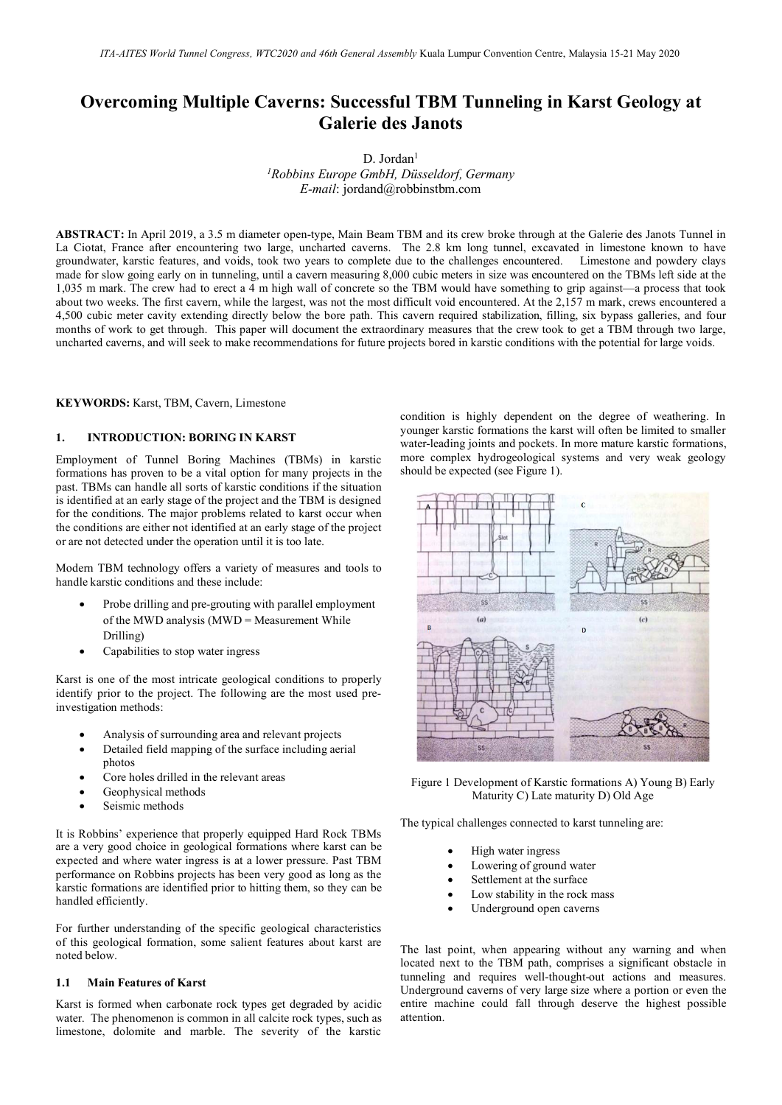# **Overcoming Multiple Caverns: Successful TBM Tunneling in Karst Geology at Galerie des Janots**

D. Jordan<sup>1</sup> *1 Robbins Europe GmbH, Düsseldorf, Germany E-mail*: jordand@robbinstbm.com

**ABSTRACT:** In April 2019, a 3.5 m diameter open-type, Main Beam TBM and its crew broke through at the Galerie des Janots Tunnel in La Ciotat, France after encountering two large, uncharted caverns. The 2.8 km long tunnel, excavated in limestone known to have groundwater, karstic features, and voids, took two years to complete due to the challenges encountered. Limestone and powdery clays made for slow going early on in tunneling, until a cavern measuring 8,000 cubic meters in size was encountered on the TBMs left side at the 1,035 m mark. The crew had to erect a 4 m high wall of concrete so the TBM would have something to grip against—a process that took about two weeks. The first cavern, while the largest, was not the most difficult void encountered. At the 2,157 m mark, crews encountered a 4,500 cubic meter cavity extending directly below the bore path. This cavern required stabilization, filling, six bypass galleries, and four months of work to get through. This paper will document the extraordinary measures that the crew took to get a TBM through two large, uncharted caverns, and will seek to make recommendations for future projects bored in karstic conditions with the potential for large voids.

#### **KEYWORDS:** Karst, TBM, Cavern, Limestone

## **1. INTRODUCTION: BORING IN KARST**

Employment of Tunnel Boring Machines (TBMs) in karstic formations has proven to be a vital option for many projects in the past. TBMs can handle all sorts of karstic conditions if the situation is identified at an early stage of the project and the TBM is designed for the conditions. The major problems related to karst occur when the conditions are either not identified at an early stage of the project or are not detected under the operation until it is too late.

Modern TBM technology offers a variety of measures and tools to handle karstic conditions and these include:

- Probe drilling and pre-grouting with parallel employment of the MWD analysis (MWD = Measurement While Drilling)
- Capabilities to stop water ingress

Karst is one of the most intricate geological conditions to properly identify prior to the project. The following are the most used preinvestigation methods:

- Analysis of surrounding area and relevant projects
- Detailed field mapping of the surface including aerial photos
- Core holes drilled in the relevant areas
- Geophysical methods
- Seismic methods

It is Robbins' experience that properly equipped Hard Rock TBMs are a very good choice in geological formations where karst can be expected and where water ingress is at a lower pressure. Past TBM performance on Robbins projects has been very good as long as the karstic formations are identified prior to hitting them, so they can be handled efficiently.

For further understanding of the specific geological characteristics of this geological formation, some salient features about karst are noted below.

## **1.1 Main Features of Karst**

Karst is formed when carbonate rock types get degraded by acidic water. The phenomenon is common in all calcite rock types, such as limestone, dolomite and marble. The severity of the karstic condition is highly dependent on the degree of weathering. In younger karstic formations the karst will often be limited to smaller water-leading joints and pockets. In more mature karstic formations, more complex hydrogeological systems and very weak geology should be expected (see Figure 1).



Figure 1 Development of Karstic formations A) Young B) Early Maturity C) Late maturity D) Old Age

The typical challenges connected to karst tunneling are:

- High water ingress
- Lowering of ground water
- Settlement at the surface
- Low stability in the rock mass
- Underground open caverns

The last point, when appearing without any warning and when located next to the TBM path, comprises a significant obstacle in tunneling and requires well-thought-out actions and measures. Underground caverns of very large size where a portion or even the entire machine could fall through deserve the highest possible attention.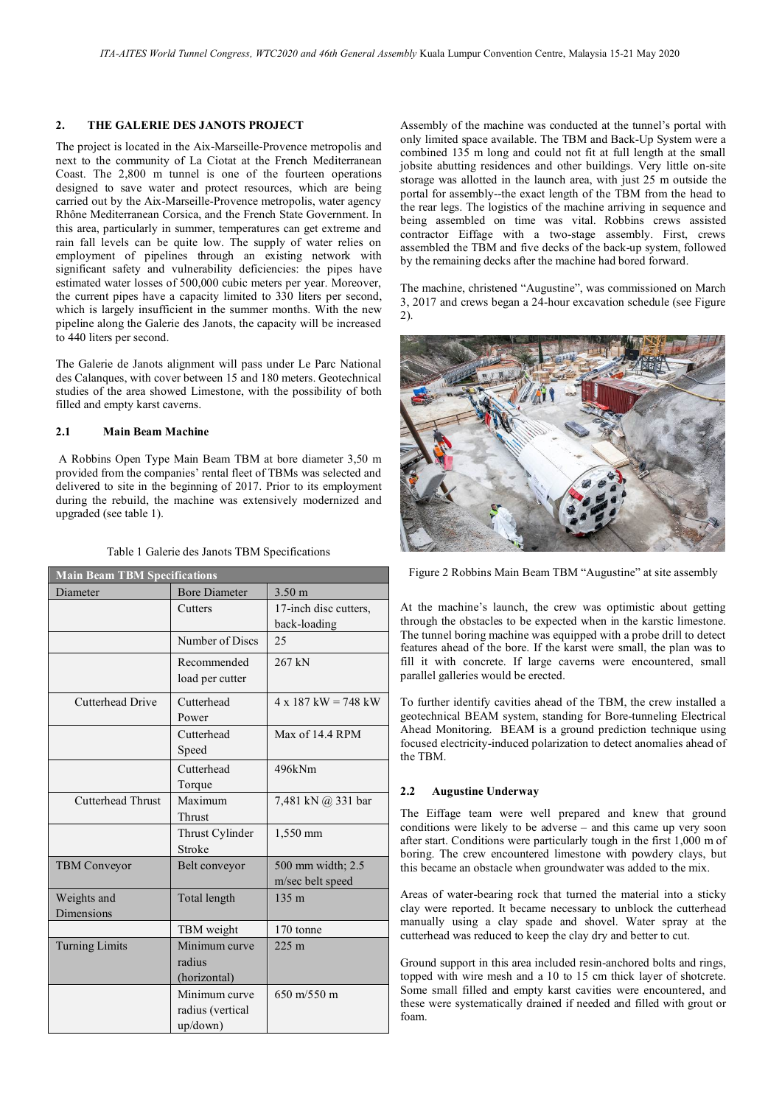### **2. THE GALERIE DES JANOTS PROJECT**

The project is located in the Aix-Marseille-Provence metropolis and next to the community of La Ciotat at the French Mediterranean Coast. The 2,800 m tunnel is one of the fourteen operations designed to save water and protect resources, which are being carried out by the Aix-Marseille-Provence metropolis, water agency Rhône Mediterranean Corsica, and the French State Government. In this area, particularly in summer, temperatures can get extreme and rain fall levels can be quite low. The supply of water relies on employment of pipelines through an existing network with significant safety and vulnerability deficiencies: the pipes have estimated water losses of 500,000 cubic meters per year. Moreover, the current pipes have a capacity limited to 330 liters per second, which is largely insufficient in the summer months. With the new pipeline along the Galerie des Janots, the capacity will be increased to 440 liters per second.

The Galerie de Janots alignment will pass under Le Parc National des Calanques, with cover between 15 and 180 meters. Geotechnical studies of the area showed Limestone, with the possibility of both filled and empty karst caverns.

## **2.1 Main Beam Machine**

A Robbins Open Type Main Beam TBM at bore diameter 3,50 m provided from the companies' rental fleet of TBMs was selected and delivered to site in the beginning of 2017. Prior to its employment during the rebuild, the machine was extensively modernized and upgraded (see table 1).

| Table 1 Galerie des Janots TBM Specifications |  |
|-----------------------------------------------|--|
|-----------------------------------------------|--|

| <b>Main Beam TBM Specifications</b> |                      |                               |
|-------------------------------------|----------------------|-------------------------------|
| Diameter                            | <b>Bore Diameter</b> | $3.50 \text{ m}$              |
|                                     | Cutters              | 17-inch disc cutters,         |
|                                     |                      | back-loading                  |
|                                     | Number of Discs      | 25                            |
|                                     | Recommended          | 267 kN                        |
|                                     | load per cutter      |                               |
| Cutterhead Drive                    | Cutterhead           | $4 \times 187$ kW = 748 kW    |
|                                     | Power                |                               |
|                                     | Cutterhead           | Max of 14.4 RPM               |
|                                     | Speed                |                               |
|                                     | Cutterhead           | 496kNm                        |
|                                     | Torque               |                               |
| <b>Cutterhead Thrust</b>            | Maximum              | 7,481 kN @ 331 bar            |
|                                     | Thrust               |                               |
|                                     | Thrust Cylinder      | 1,550 mm                      |
|                                     | Stroke               |                               |
| <b>TBM</b> Conveyor                 | Belt conveyor        | 500 mm width; 2.5             |
|                                     |                      | m/sec belt speed              |
| Weights and                         | Total length         | 135 <sub>m</sub>              |
| <b>Dimensions</b>                   |                      |                               |
|                                     | TBM weight           | 170 tonne                     |
| <b>Turning Limits</b>               | Minimum curve        | 225m                          |
|                                     | radius               |                               |
|                                     | (horizontal)         |                               |
|                                     | Minimum curve        | $650 \text{ m}/550 \text{ m}$ |
|                                     | radius (vertical     |                               |
|                                     | up/down)             |                               |

Assembly of the machine was conducted at the tunnel's portal with only limited space available. The TBM and Back-Up System were a combined 135 m long and could not fit at full length at the small jobsite abutting residences and other buildings. Very little on-site storage was allotted in the launch area, with just 25 m outside the portal for assembly--the exact length of the TBM from the head to the rear legs. The logistics of the machine arriving in sequence and being assembled on time was vital. Robbins crews assisted contractor Eiffage with a two-stage assembly. First, crews assembled the TBM and five decks of the back-up system, followed by the remaining decks after the machine had bored forward.

The machine, christened "Augustine", was commissioned on March 3, 2017 and crews began a 24-hour excavation schedule (see Figure 2).



Figure 2 Robbins Main Beam TBM "Augustine" at site assembly

At the machine's launch, the crew was optimistic about getting through the obstacles to be expected when in the karstic limestone. The tunnel boring machine was equipped with a probe drill to detect features ahead of the bore. If the karst were small, the plan was to fill it with concrete. If large caverns were encountered, small parallel galleries would be erected.

To further identify cavities ahead of the TBM, the crew installed a geotechnical BEAM system, standing for Bore-tunneling Electrical Ahead Monitoring. BEAM is a ground prediction technique using focused electricity-induced polarization to detect anomalies ahead of the TBM.

#### **2.2 Augustine Underway**

The Eiffage team were well prepared and knew that ground conditions were likely to be adverse – and this came up very soon after start. Conditions were particularly tough in the first 1,000 m of boring. The crew encountered limestone with powdery clays, but this became an obstacle when groundwater was added to the mix.

Areas of water-bearing rock that turned the material into a sticky clay were reported. It became necessary to unblock the cutterhead manually using a clay spade and shovel. Water spray at the cutterhead was reduced to keep the clay dry and better to cut.

Ground support in this area included resin-anchored bolts and rings, topped with wire mesh and a 10 to 15 cm thick layer of shotcrete. Some small filled and empty karst cavities were encountered, and these were systematically drained if needed and filled with grout or foam.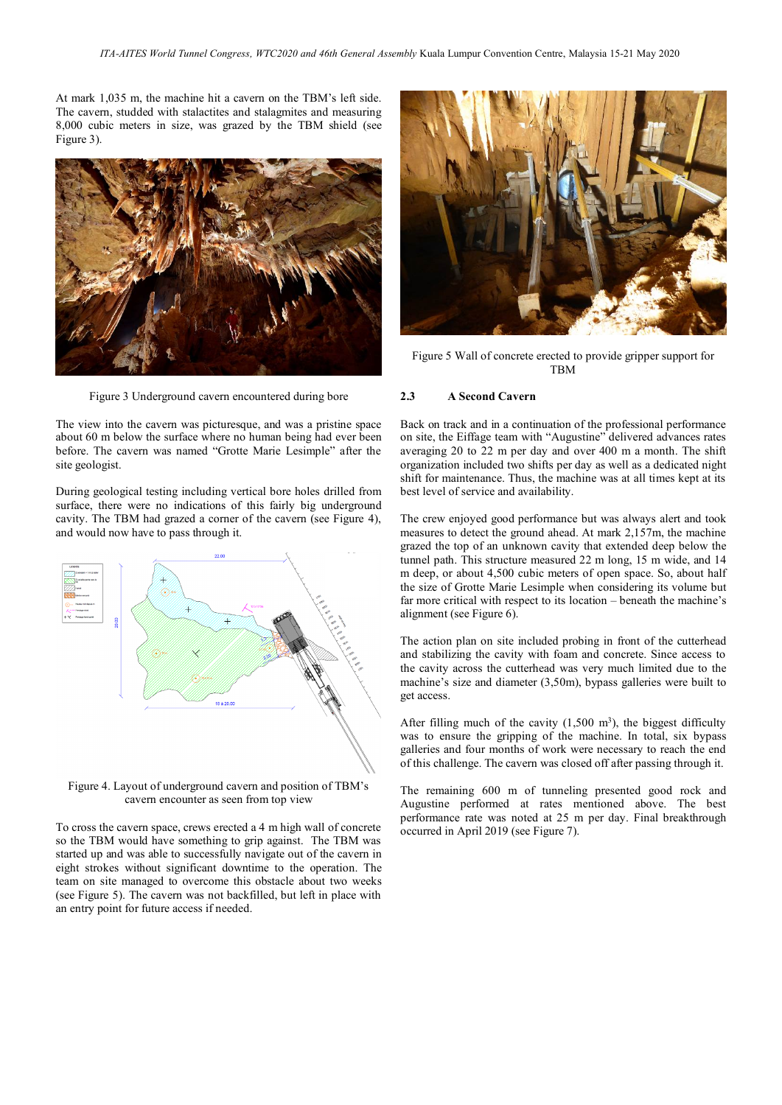At mark 1,035 m, the machine hit a cavern on the TBM's left side. The cavern, studded with stalactites and stalagmites and measuring 8,000 cubic meters in size, was grazed by the TBM shield (see Figure 3).



Figure 3 Underground cavern encountered during bore

The view into the cavern was picturesque, and was a pristine space about 60 m below the surface where no human being had ever been before. The cavern was named "Grotte Marie Lesimple" after the site geologist.

During geological testing including vertical bore holes drilled from surface, there were no indications of this fairly big underground cavity. The TBM had grazed a corner of the cavern (see Figure 4), and would now have to pass through it.



Figure 4. Layout of underground cavern and position of TBM's cavern encounter as seen from top view

To cross the cavern space, crews erected a 4 m high wall of concrete so the TBM would have something to grip against. The TBM was started up and was able to successfully navigate out of the cavern in eight strokes without significant downtime to the operation. The team on site managed to overcome this obstacle about two weeks (see Figure 5). The cavern was not backfilled, but left in place with an entry point for future access if needed.



Figure 5 Wall of concrete erected to provide gripper support for TBM

#### **2.3 A Second Cavern**

Back on track and in a continuation of the professional performance on site, the Eiffage team with "Augustine" delivered advances rates averaging 20 to 22 m per day and over 400 m a month. The shift organization included two shifts per day as well as a dedicated night shift for maintenance. Thus, the machine was at all times kept at its best level of service and availability.

The crew enjoyed good performance but was always alert and took measures to detect the ground ahead. At mark 2,157m, the machine grazed the top of an unknown cavity that extended deep below the tunnel path. This structure measured 22 m long, 15 m wide, and 14 m deep, or about 4,500 cubic meters of open space. So, about half the size of Grotte Marie Lesimple when considering its volume but far more critical with respect to its location – beneath the machine's alignment (see Figure 6).

The action plan on site included probing in front of the cutterhead and stabilizing the cavity with foam and concrete. Since access to the cavity across the cutterhead was very much limited due to the machine's size and diameter (3,50m), bypass galleries were built to get access.

After filling much of the cavity  $(1,500 \text{ m}^3)$ , the biggest difficulty was to ensure the gripping of the machine. In total, six bypass galleries and four months of work were necessary to reach the end of this challenge. The cavern was closed off after passing through it.

The remaining 600 m of tunneling presented good rock and Augustine performed at rates mentioned above. The best performance rate was noted at 25 m per day. Final breakthrough occurred in April 2019 (see Figure 7).